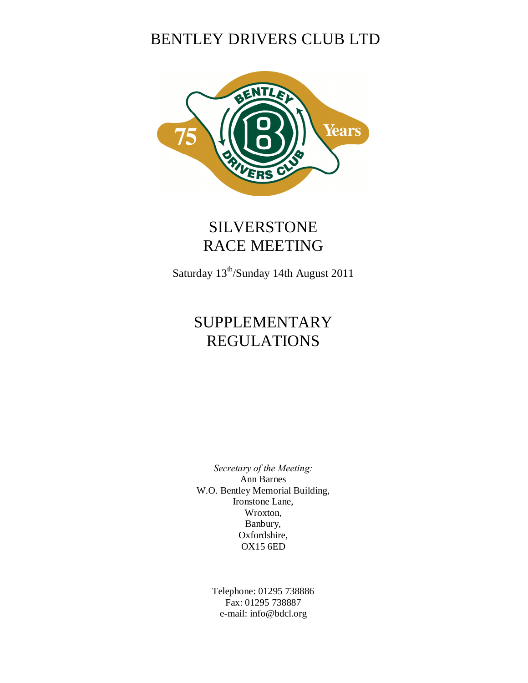# BENTLEY DRIVERS CLUB LTD



# SILVERSTONE RACE MEETING

Saturday 13th/Sunday 14th August 2011

# SUPPLEMENTARY REGULATIONS

*Secretary of the Meeting:* Ann Barnes W.O. Bentley Memorial Building, Ironstone Lane, Wroxton, Banbury, Oxfordshire, OX15 6ED

> Telephone: 01295 738886 Fax: 01295 738887 e-mail: info@bdcl.org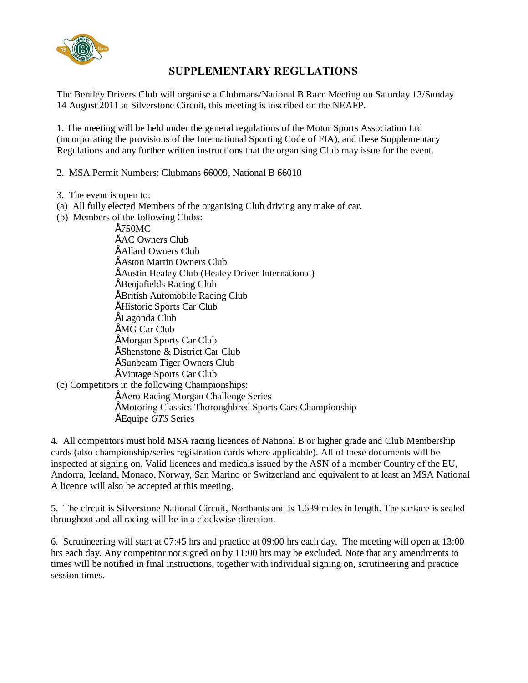

# **SUPPLEMENTARY REGULATIONS**

The Bentley Drivers Club will organise a Clubmans/National B Race Meeting on Saturday 13/Sunday 14 August 2011 at Silverstone Circuit, this meeting is inscribed on the NEAFP.

1. The meeting will be held under the general regulations of the Motor Sports Association Ltd (incorporating the provisions of the International Sporting Code of FIA), and these Supplementary Regulations and any further written instructions that the organising Club may issue for the event.

2. MSA Permit Numbers: Clubmans 66009, National B 66010

- 3. The event is open to:
- (a) All fully elected Members of the organising Club driving any make of car.
- (b) Members of the following Clubs:

• 750MC **ÉAC Owners Club** • Allard Owners Club **ÉAston Martin Owners Club** • Austin Healey Club (Healey Driver International) • Benjafields Racing Club • British Automobile Racing Club • Historic Sports Car Club • Lagonda Club **ÉMG Car Club** • Morgan Sports Car Club • Shenstone & District Car Club • Sunbeam Tiger Owners Club • Vintage Sports Car Club (c) Competitors in the following Championships: • Aero Racing Morgan Challenge Series • Motoring Classics Thoroughbred Sports Cars Championship • Equipe *GTS* Series

4. All competitors must hold MSA racing licences of National B or higher grade and Club Membership cards (also championship/series registration cards where applicable). All of these documents will be inspected at signing on. Valid licences and medicals issued by the ASN of a member Country of the EU, Andorra, Iceland, Monaco, Norway, San Marino or Switzerland and equivalent to at least an MSA National A licence will also be accepted at this meeting.

5. The circuit is Silverstone National Circuit, Northants and is 1.639 miles in length. The surface is sealed throughout and all racing will be in a clockwise direction.

6. Scrutineering will start at 07:45 hrs and practice at 09:00 hrs each day. The meeting will open at 13:00 hrs each day. Any competitor not signed on by 11:00 hrs may be excluded. Note that any amendments to times will be notified in final instructions, together with individual signing on, scrutineering and practice session times.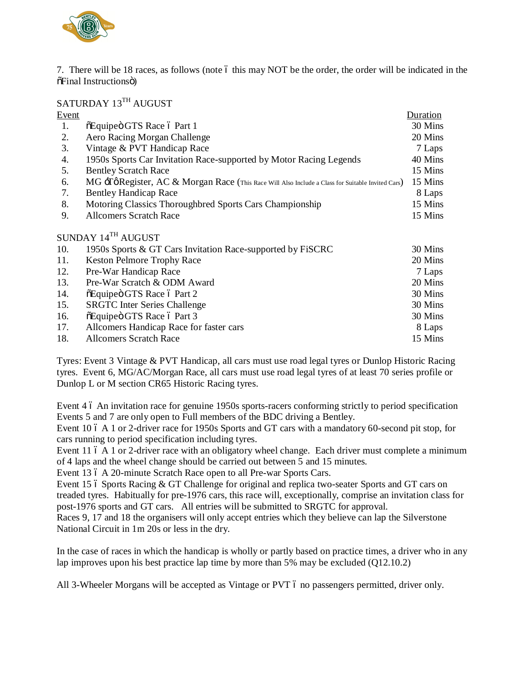

7. There will be 18 races, as follows (note 6 this may NOT be the order, the order will be indicated in the  $õFinal$  Instructionsö)

SATURDAY 13TH AUGUST

| Event |                                                                                                  | Duration |
|-------|--------------------------------------------------------------------------------------------------|----------|
| 1.    | õEquipeö GTS Race ó Part 1                                                                       | 30 Mins  |
| 2.    | Aero Racing Morgan Challenge                                                                     | 20 Mins  |
| 3.    | Vintage & PVT Handicap Race                                                                      | 7 Laps   |
| 4.    | 1950s Sports Car Invitation Race-supported by Motor Racing Legends                               | 40 Mins  |
| 5.    | <b>Bentley Scratch Race</b>                                                                      | 15 Mins  |
| 6.    | MG -TøRegister, AC & Morgan Race (This Race Will Also Include a Class for Suitable Invited Cars) | 15 Mins  |
| 7.    | <b>Bentley Handicap Race</b>                                                                     | 8 Laps   |
| 8.    | Motoring Classics Thoroughbred Sports Cars Championship                                          | 15 Mins  |
| 9.    | <b>Allcomers Scratch Race</b>                                                                    | 15 Mins  |
|       | SUNDAY 14 <sup>TH</sup> AUGUST                                                                   |          |
| 10.   | 1950s Sports & GT Cars Invitation Race-supported by FiSCRC                                       | 30 Mins  |
| 11.   | <b>Keston Pelmore Trophy Race</b>                                                                | 20 Mins  |
| 12.   | Pre-War Handicap Race                                                                            | 7 Laps   |
| 13.   | Pre-War Scratch & ODM Award                                                                      | 20 Mins  |
| 14.   | õEquipeö GTS Race ó Part 2                                                                       | 30 Mins  |
| 15.   | <b>SRGTC</b> Inter Series Challenge                                                              | 30 Mins  |
| 16.   | õEquipeö GTS Race ó Part 3                                                                       | 30 Mins  |
| 17.   | Allcomers Handicap Race for faster cars                                                          | 8 Laps   |
| 18.   | <b>Allcomers Scratch Race</b>                                                                    | 15 Mins  |

Tyres: Event 3 Vintage & PVT Handicap, all cars must use road legal tyres or Dunlop Historic Racing tyres. Event 6, MG/AC/Morgan Race, all cars must use road legal tyres of at least 70 series profile or Dunlop L or M section CR65 Historic Racing tyres.

Event 4 6 An invitation race for genuine 1950s sports-racers conforming strictly to period specification Events 5 and 7 are only open to Full members of the BDC driving a Bentley.

Event 10 6 A 1 or 2-driver race for 1950s Sports and GT cars with a mandatory 60-second pit stop, for cars running to period specification including tyres.

Event 11 6 A 1 or 2-driver race with an obligatory wheel change. Each driver must complete a minimum of 4 laps and the wheel change should be carried out between 5 and 15 minutes.

Event 13 6 A 20-minute Scratch Race open to all Pre-war Sports Cars.

Event 15 6 Sports Racing & GT Challenge for original and replica two-seater Sports and GT cars on treaded tyres. Habitually for pre-1976 cars, this race will, exceptionally, comprise an invitation class for post-1976 sports and GT cars. All entries will be submitted to SRGTC for approval.

Races 9, 17 and 18 the organisers will only accept entries which they believe can lap the Silverstone National Circuit in 1m 20s or less in the dry.

In the case of races in which the handicap is wholly or partly based on practice times, a driver who in any lap improves upon his best practice lap time by more than 5% may be excluded (Q12.10.2)

All 3-Wheeler Morgans will be accepted as Vintage or PVT 6 no passengers permitted, driver only.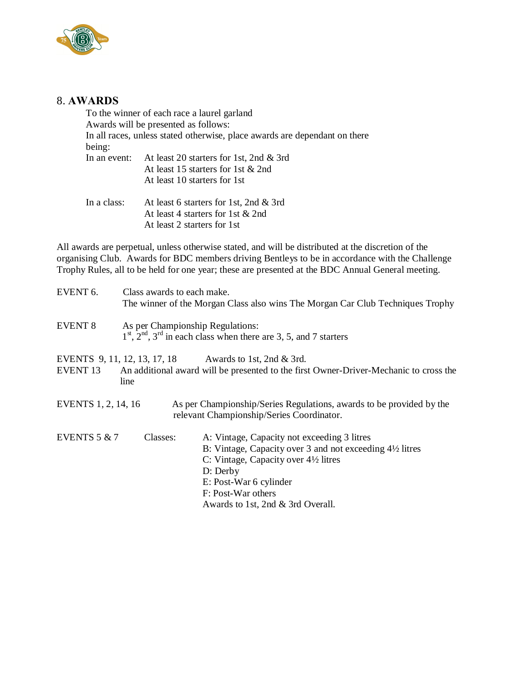

## 8. **AWARDS**

To the winner of each race a laurel garland Awards will be presented as follows: In all races, unless stated otherwise, place awards are dependant on there being:<br>In an event: At least 20 starters for 1st, 2nd  $\&$  3rd At least 15 starters for 1st & 2nd At least 10 starters for 1st In a class: At least 6 starters for 1st, 2nd & 3rd At least 4 starters for 1st & 2nd At least 2 starters for 1st

All awards are perpetual, unless otherwise stated, and will be distributed at the discretion of the organising Club. Awards for BDC members driving Bentleys to be in accordance with the Challenge Trophy Rules, all to be held for one year; these are presented at the BDC Annual General meeting.

| EVENT <sub>6</sub> . | Class awards to each make.       |                                                                                                                   |
|----------------------|----------------------------------|-------------------------------------------------------------------------------------------------------------------|
|                      |                                  | The winner of the Morgan Class also wins The Morgan Car Club Techniques Trophy                                    |
| <b>EVENT 8</b>       | As per Championship Regulations: |                                                                                                                   |
|                      |                                  | $1st$ , $2nd$ , $3rd$ in each class when there are 3, 5, and 7 starters                                           |
|                      |                                  | EVENTS 9, 11, 12, 13, 17, 18 Awards to 1st, 2nd & 3rd.                                                            |
| EVENT <sub>13</sub>  | line                             | An additional award will be presented to the first Owner-Driver-Mechanic to cross the                             |
| EVENTS 1, 2, 14, 16  |                                  | As per Championship/Series Regulations, awards to be provided by the<br>relevant Championship/Series Coordinator. |
| EVENTS $5 & 7$       | Classes:                         | A: Vintage, Capacity not exceeding 3 litres                                                                       |
|                      |                                  | B: Vintage, Capacity over 3 and not exceeding $4\frac{1}{2}$ litres                                               |
|                      |                                  | C: Vintage, Capacity over 4½ litres                                                                               |
|                      |                                  | D: Derby                                                                                                          |
|                      |                                  | E: Post-War 6 cylinder                                                                                            |
|                      |                                  | F: Post-War others                                                                                                |
|                      |                                  | Awards to 1st, 2nd & 3rd Overall.                                                                                 |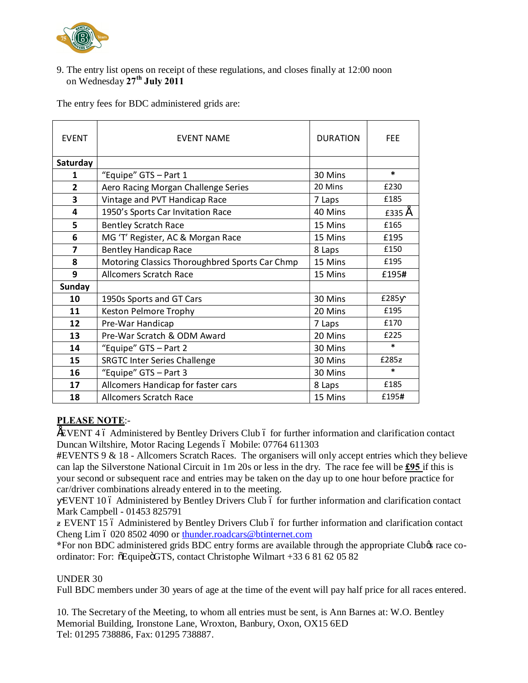

9. The entry list opens on receipt of these regulations, and closes finally at 12:00 noon on Wednesday **27th July 2011**

The entry fees for BDC administered grids are:

| <b>FVFNT</b>            | <b>FVFNT NAMF</b>                              | <b>DURATION</b> | <b>FFF</b> |
|-------------------------|------------------------------------------------|-----------------|------------|
| Saturday                |                                                |                 |            |
| 1                       | "Equipe" GTS - Part 1                          | 30 Mins         | $\ast$     |
| $\overline{2}$          | Aero Racing Morgan Challenge Series            | 20 Mins         | £230       |
| 3                       | Vintage and PVT Handicap Race                  | 7 Laps          | £185       |
| 4                       | 1950's Sports Car Invitation Race              | 40 Mins         | £335 E     |
| 5                       | <b>Bentley Scratch Race</b>                    | 15 Mins         | £165       |
| 6                       | MG 'T' Register, AC & Morgan Race              | 15 Mins         | £195       |
| $\overline{\mathbf{z}}$ | <b>Bentley Handicap Race</b>                   | 8 Laps          | £150       |
| 8                       | Motoring Classics Thoroughbred Sports Car Chmp | 15 Mins         | £195       |
| 9                       | <b>Allcomers Scratch Race</b>                  | 15 Mins         | £195#      |
| <b>Sunday</b>           |                                                |                 |            |
| 10                      | 1950s Sports and GT Cars                       | 30 Mins         | £285       |
| 11                      | Keston Pelmore Trophy                          | 20 Mins         | £195       |
| 12                      | Pre-War Handicap                               | 7 Laps          | £170       |
| 13                      | Pre-War Scratch & ODM Award                    | 20 Mins         | £225       |
| 14                      | "Equipe" GTS - Part 2                          | 30 Mins         | $\ast$     |
| 15                      | <b>SRGTC Inter Series Challenge</b>            | 30 Mins         | £285       |
| 16                      | "Equipe" GTS - Part 3                          | 30 Mins         | $\ast$     |
| 17                      | Allcomers Handicap for faster cars             | 8 Laps          | £185       |
| 18                      | Allcomers Scratch Race                         | 15 Mins         | £195#      |

#### **PLEASE NOTE**:-

EVENT 4 6 Administered by Bentley Drivers Club 6 for further information and clarification contact Duncan Wiltshire, Motor Racing Legends ó Mobile: 07764 611303

**#**EVENTS 9 & 18 - Allcomers Scratch Races. The organisers will only accept entries which they believe can lap the Silverstone National Circuit in 1m 20s or less in the dry. The race fee will be **£95** if this is your second or subsequent race and entries may be taken on the day up to one hour before practice for car/driver combinations already entered in to the meeting.

EVENT 10 6 Administered by Bentley Drivers Club 6 for further information and clarification contact Mark Campbell - 01453 825791

EVENT 15 6 Administered by Bentley Drivers Club 6 for further information and clarification contact Cheng Lim ó 020 8502 4090 or thunder.roadcars@btinternet.com

\*For non BDC administered grids BDC entry forms are available through the appropriate Clubos race coordinator: For:  $\delta$ Equipe $\delta$ GTS, contact Christophe Wilmart +33 6 81 62 05 82

#### UNDER 30

Full BDC members under 30 years of age at the time of the event will pay half price for all races entered.

10. The Secretary of the Meeting, to whom all entries must be sent, is Ann Barnes at: W.O. Bentley Memorial Building, Ironstone Lane, Wroxton, Banbury, Oxon, OX15 6ED Tel: 01295 738886, Fax: 01295 738887.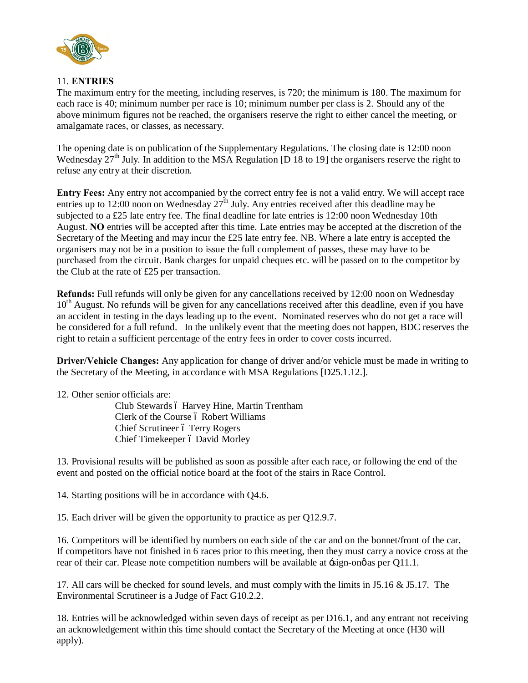

#### 11. **ENTRIES**

The maximum entry for the meeting, including reserves, is 720; the minimum is 180. The maximum for each race is 40; minimum number per race is 10; minimum number per class is 2. Should any of the above minimum figures not be reached, the organisers reserve the right to either cancel the meeting, or amalgamate races, or classes, as necessary.

The opening date is on publication of the Supplementary Regulations. The closing date is 12:00 noon Wednesday 27<sup>th</sup> July. In addition to the MSA Regulation [D 18 to 19] the organisers reserve the right to refuse any entry at their discretion.

**Entry Fees:** Any entry not accompanied by the correct entry fee is not a valid entry. We will accept race entries up to 12:00 noon on Wednesday  $27<sup>th</sup>$  July. Any entries received after this deadline may be subjected to a £25 late entry fee. The final deadline for late entries is 12:00 noon Wednesday 10th August. **NO** entries will be accepted after this time. Late entries may be accepted at the discretion of the Secretary of the Meeting and may incur the £25 late entry fee. NB. Where a late entry is accepted the organisers may not be in a position to issue the full complement of passes, these may have to be purchased from the circuit. Bank charges for unpaid cheques etc. will be passed on to the competitor by the Club at the rate of £25 per transaction.

**Refunds:** Full refunds will only be given for any cancellations received by 12:00 noon on Wednesday 10<sup>th</sup> August. No refunds will be given for any cancellations received after this deadline, even if you have an accident in testing in the days leading up to the event. Nominated reserves who do not get a race will be considered for a full refund. In the unlikely event that the meeting does not happen, BDC reserves the right to retain a sufficient percentage of the entry fees in order to cover costs incurred.

**Driver/Vehicle Changes:** Any application for change of driver and/or vehicle must be made in writing to the Secretary of the Meeting, in accordance with MSA Regulations [D25.1.12.].

12. Other senior officials are:

Club Stewards ó Harvey Hine, Martin Trentham Clerk of the Course ó Robert Williams Chief Scrutineer ó Terry Rogers Chief Timekeeper ó David Morley

13. Provisional results will be published as soon as possible after each race, or following the end of the event and posted on the official notice board at the foot of the stairs in Race Control.

14. Starting positions will be in accordance with Q4.6.

15. Each driver will be given the opportunity to practice as per Q12.9.7.

16. Competitors will be identified by numbers on each side of the car and on the bonnet/front of the car. If competitors have not finished in 6 races prior to this meeting, then they must carry a novice cross at the rear of their car. Please note competition numbers will be available at  $\pm$ sign-on $\phi$  as per Q11.1.

17. All cars will be checked for sound levels, and must comply with the limits in J5.16 & J5.17. The Environmental Scrutineer is a Judge of Fact G10.2.2.

18. Entries will be acknowledged within seven days of receipt as per D16.1, and any entrant not receiving an acknowledgement within this time should contact the Secretary of the Meeting at once (H30 will apply).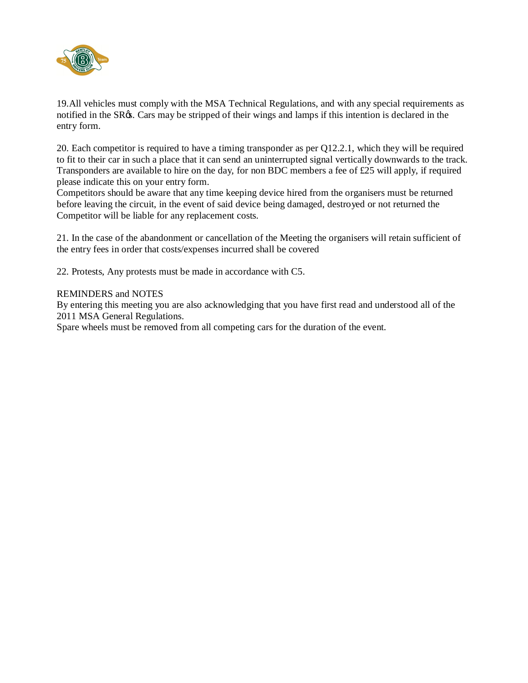

19.All vehicles must comply with the MSA Technical Regulations, and with any special requirements as notified in the SR $\alpha$ s. Cars may be stripped of their wings and lamps if this intention is declared in the entry form.

20. Each competitor is required to have a timing transponder as per Q12.2.1, which they will be required to fit to their car in such a place that it can send an uninterrupted signal vertically downwards to the track. Transponders are available to hire on the day, for non BDC members a fee of £25 will apply, if required please indicate this on your entry form.

Competitors should be aware that any time keeping device hired from the organisers must be returned before leaving the circuit, in the event of said device being damaged, destroyed or not returned the Competitor will be liable for any replacement costs.

21. In the case of the abandonment or cancellation of the Meeting the organisers will retain sufficient of the entry fees in order that costs/expenses incurred shall be covered

22. Protests, Any protests must be made in accordance with C5.

#### REMINDERS and NOTES

By entering this meeting you are also acknowledging that you have first read and understood all of the 2011 MSA General Regulations.

Spare wheels must be removed from all competing cars for the duration of the event.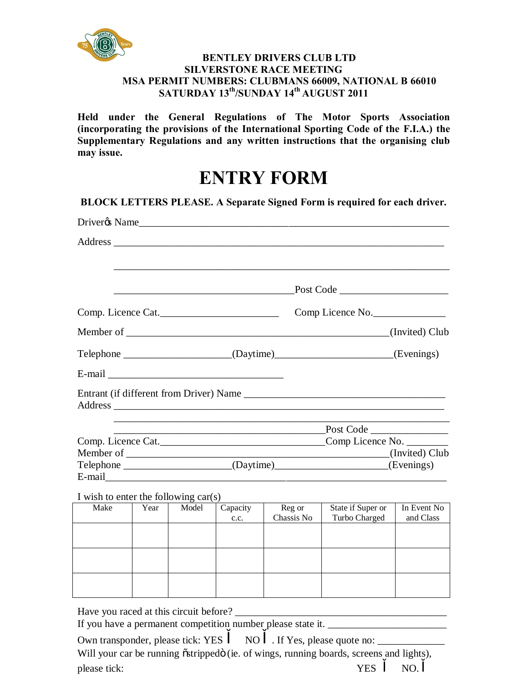

#### **BENTLEY DRIVERS CLUB LTD SILVERSTONE RACE MEETING MSA PERMIT NUMBERS: CLUBMANS 66009, NATIONAL B 66010 SATURDAY 13th/SUNDAY 14th AUGUST 2011**

**Held under the General Regulations of The Motor Sports Association (incorporating the provisions of the International Sporting Code of the F.I.A.) the Supplementary Regulations and any written instructions that the organising club may issue.**

# **ENTRY FORM**

|                                        |                                                                                                                      |                                                                                                 |                  | Driver & Name        |                                                                           |                          |
|----------------------------------------|----------------------------------------------------------------------------------------------------------------------|-------------------------------------------------------------------------------------------------|------------------|----------------------|---------------------------------------------------------------------------|--------------------------|
|                                        |                                                                                                                      |                                                                                                 |                  |                      |                                                                           |                          |
|                                        |                                                                                                                      | $\frac{\text{Post Code}}{\text{Cost}}$<br><u> 1989 - Johann Stoff, fransk politik (d. 1989)</u> |                  |                      |                                                                           |                          |
| Comp. Licence Cat.                     |                                                                                                                      |                                                                                                 |                  |                      | Comp Licence No.                                                          |                          |
|                                        |                                                                                                                      |                                                                                                 |                  |                      |                                                                           | (Invited) Club           |
|                                        |                                                                                                                      |                                                                                                 |                  |                      | Telephone _______________________(Daytime)_____________________(Evenings) |                          |
|                                        |                                                                                                                      |                                                                                                 |                  |                      |                                                                           |                          |
|                                        |                                                                                                                      |                                                                                                 |                  |                      | Entrant (if different from Driver) Name                                   |                          |
|                                        | <u> 2000 - Jan James James James James James James James James James James James James James James James James J</u> |                                                                                                 |                  |                      |                                                                           |                          |
|                                        |                                                                                                                      |                                                                                                 |                  |                      |                                                                           |                          |
|                                        |                                                                                                                      |                                                                                                 |                  |                      |                                                                           |                          |
|                                        |                                                                                                                      |                                                                                                 |                  |                      | Telephone (Daytime) (Daytime) (Evenings)                                  |                          |
| I wish to enter the following $car(s)$ |                                                                                                                      |                                                                                                 |                  |                      |                                                                           |                          |
| Make                                   | Year                                                                                                                 | Model                                                                                           | Capacity<br>c.c. | Reg or<br>Chassis No | State if Super or<br>Turbo Charged                                        | In Event No<br>and Class |
|                                        |                                                                                                                      |                                                                                                 |                  |                      |                                                                           |                          |
|                                        |                                                                                                                      |                                                                                                 |                  |                      |                                                                           |                          |
|                                        |                                                                                                                      |                                                                                                 |                  |                      |                                                                           |                          |
|                                        |                                                                                                                      |                                                                                                 |                  |                      |                                                                           |                          |

Have you raced at this circuit before?

If you have a permanent competition number please state it.

Own transponder, please tick: YES NO . If Yes, please quote no: Will your car be running õstrippedö (ie. of wings, running boards, screens and lights), please tick:  $YES$  NO.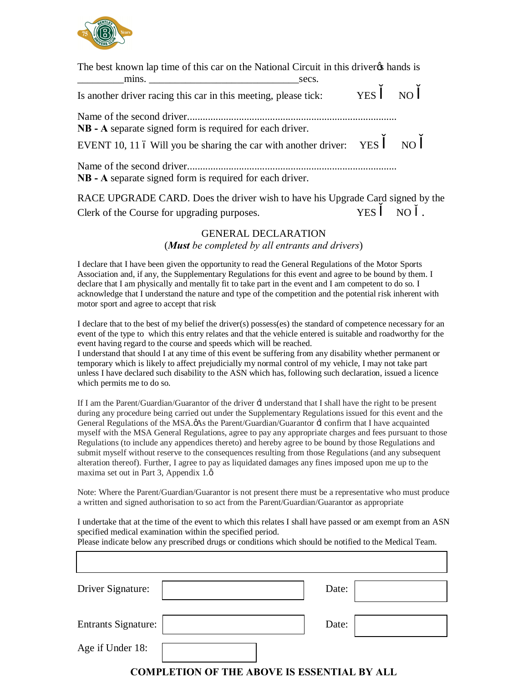

| The best known lap time of this car on the National Circuit in this driver than and is                                          |             |  |
|---------------------------------------------------------------------------------------------------------------------------------|-------------|--|
| Is another driver racing this car in this meeting, please tick:                                                                 | YES.<br>NO. |  |
| NB - A separate signed form is required for each driver.<br>EVENT 10, 11 6 Will you be sharing the car with another driver: YES | NO          |  |
| NB - A separate signed form is required for each driver.                                                                        |             |  |

RACE UPGRADE CARD. Does the driver wish to have his Upgrade Card signed by the Clerk of the Course for upgrading purposes. YES NO .

## GENERAL DECLARATION (*Must be completed by all entrants and drivers*)

I declare that I have been given the opportunity to read the General Regulations of the Motor Sports Association and, if any, the Supplementary Regulations for this event and agree to be bound by them. I declare that I am physically and mentally fit to take part in the event and I am competent to do so. I acknowledge that I understand the nature and type of the competition and the potential risk inherent with motor sport and agree to accept that risk

I declare that to the best of my belief the driver(s) possess(es) the standard of competence necessary for an event of the type to which this entry relates and that the vehicle entered is suitable and roadworthy for the event having regard to the course and speeds which will be reached.

I understand that should I at any time of this event be suffering from any disability whether permanent or temporary which is likely to affect prejudicially my normal control of my vehicle, I may not take part unless I have declared such disability to the ASN which has, following such declaration, issued a licence which permits me to do so.

If I am the Parent/Guardian/Guarantor of the driver 'I understand that I shall have the right to be present during any procedure being carried out under the Supplementary Regulations issued for this event and the General Regulations of the MSA. $\phi$ As the Parent/Guardian/Guarantor  $\exists$  confirm that I have acquainted myself with the MSA General Regulations, agree to pay any appropriate charges and fees pursuant to those Regulations (to include any appendices thereto) and hereby agree to be bound by those Regulations and submit myself without reserve to the consequences resulting from those Regulations (and any subsequent alteration thereof). Further, I agree to pay as liquidated damages any fines imposed upon me up to the maxima set out in Part 3, Appendix  $1.\phi$ 

Note: Where the Parent/Guardian/Guarantor is not present there must be a representative who must produce a written and signed authorisation to so act from the Parent/Guardian/Guarantor as appropriate

I undertake that at the time of the event to which this relates I shall have passed or am exempt from an ASN specified medical examination within the specified period.

Please indicate below any prescribed drugs or conditions which should be notified to the Medical Team.

| Driver Signature:          | Date: |  |
|----------------------------|-------|--|
| <b>Entrants Signature:</b> | Date: |  |
| Age if Under 18:           |       |  |
| $\sim$                     |       |  |

## **COMPLETION OF THE ABOVE IS ESSENTIAL BY ALL**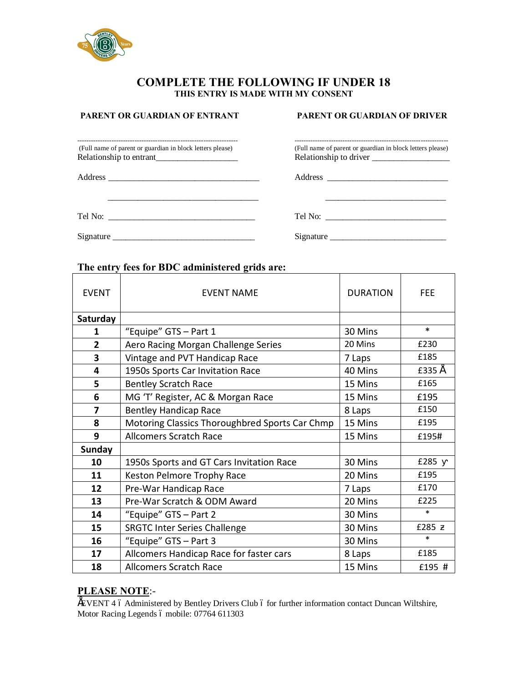

#### **COMPLETE THE FOLLOWING IF UNDER 18 THIS ENTRY IS MADE WITH MY CONSENT**

 $\frac{1}{2}$  ,  $\frac{1}{2}$  ,  $\frac{1}{2}$  ,  $\frac{1}{2}$  ,  $\frac{1}{2}$  ,  $\frac{1}{2}$  ,  $\frac{1}{2}$  ,  $\frac{1}{2}$  ,  $\frac{1}{2}$  ,  $\frac{1}{2}$  ,  $\frac{1}{2}$  ,  $\frac{1}{2}$  ,  $\frac{1}{2}$  ,  $\frac{1}{2}$  ,  $\frac{1}{2}$  ,  $\frac{1}{2}$  ,  $\frac{1}{2}$  ,  $\frac{1}{2}$  ,  $\frac{1$ 

#### **PARENT OR GUARDIAN OF ENTRANT PARENT OR GUARDIAN OF DRIVER**

| (Full name of parent or guardian in block letters please) | (Full name of parent or guardian in block le |
|-----------------------------------------------------------|----------------------------------------------|
| Relationship to entrant                                   | Relationship to driver                       |

Address \_\_\_\_\_\_\_\_\_\_\_\_\_\_\_\_\_\_\_\_\_\_\_\_\_\_\_\_\_\_\_\_\_\_\_ Address \_\_\_\_\_\_\_\_\_\_\_\_\_\_\_\_\_\_\_\_\_\_\_\_\_\_\_\_

| Tel No: |  |  |  |
|---------|--|--|--|

 $Signature \_\_\_\_\_$ 

## ---------------------------------------------------------------------- ------------------------------------------------------------------- (Full name of parent or guardian in block letters please) (Full name of parent or guardian in block letters please)

| I |  |
|---|--|

# **The entry fees for BDC administered grids are:**

| <b>FVFNT</b>            | <b>FVENT NAME</b>                              | <b>DURATION</b> | <b>FEE</b> |
|-------------------------|------------------------------------------------|-----------------|------------|
| Saturday                |                                                |                 |            |
| 1                       | "Equipe" GTS - Part 1                          | 30 Mins         | $\ast$     |
| $\overline{2}$          | Aero Racing Morgan Challenge Series            | 20 Mins         | £230       |
| $\overline{\mathbf{3}}$ | Vintage and PVT Handicap Race                  | 7 Laps          | £185       |
| 4                       | 1950s Sports Car Invitation Race               | 40 Mins         | £335 É     |
| 5                       | <b>Bentley Scratch Race</b>                    | 15 Mins         | £165       |
| 6                       | MG 'T' Register, AC & Morgan Race              | 15 Mins         | £195       |
| 7                       | <b>Bentley Handicap Race</b>                   | 8 Laps          | £150       |
| 8                       | Motoring Classics Thoroughbred Sports Car Chmp | 15 Mins         | £195       |
| 9                       | <b>Allcomers Scratch Race</b>                  | 15 Mins         | £195#      |
| <b>Sunday</b>           |                                                |                 |            |
| 10                      | 1950s Sports and GT Cars Invitation Race       | 30 Mins         | £285       |
| 11                      | Keston Pelmore Trophy Race                     | 20 Mins         | £195       |
| 12                      | Pre-War Handicap Race                          | 7 Laps          | £170       |
| 13                      | Pre-War Scratch & ODM Award                    | 20 Mins         | £225       |
| 14                      | "Equipe" GTS - Part 2                          | 30 Mins         | $\ast$     |
| 15                      | <b>SRGTC Inter Series Challenge</b>            | 30 Mins         | £285       |
| 16                      | "Equipe" GTS - Part 3                          | 30 Mins         | $\ast$     |
| 17                      | Allcomers Handicap Race for faster cars        | 8 Laps          | £185       |
| 18                      | <b>Allcomers Scratch Race</b>                  | 15 Mins         | £195 #     |

### **PLEASE NOTE**:-

ÉVENT 4 ó Administered by Bentley Drivers Club ó for further information contact Duncan Wiltshire, Motor Racing Legends ó mobile: 07764 611303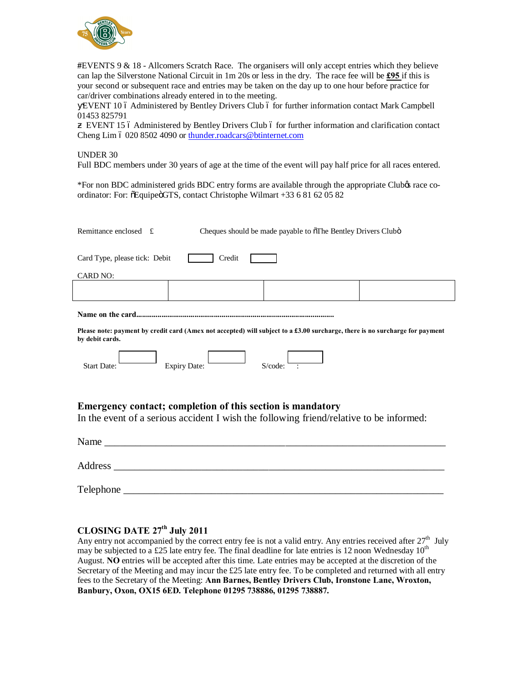

**#**EVENTS 9 & 18 - Allcomers Scratch Race. The organisers will only accept entries which they believe can lap the Silverstone National Circuit in 1m 20s or less in the dry. The race fee will be **£95** if this is your second or subsequent race and entries may be taken on the day up to one hour before practice for car/driver combinations already entered in to the meeting.

EVENT 10 6 Administered by Bentley Drivers Club 6 for further information contact Mark Campbell 01453 825791

EVENT 15 6 Administered by Bentley Drivers Club 6 for further information and clarification contact Cheng Lim 6 020 8502 4090 or [thunder.roadcars@btinternet.com](mailto:thunder.roadcars@btinternet.com)

#### UNDER 30

Full BDC members under 30 years of age at the time of the event will pay half price for all races entered.

\*For non BDC administered grids BDC entry forms are available through the appropriate Club's race coordinator: For: õEquipeöGTS, contact Christophe Wilmart +33 6 81 62 05 82

| Remittance enclosed $f$<br>Cheques should be made payable to õThe Bentley Drivers Clubö                                                               |  |  |  |  |
|-------------------------------------------------------------------------------------------------------------------------------------------------------|--|--|--|--|
| Card Type, please tick: Debit<br>Credit                                                                                                               |  |  |  |  |
| <b>CARD NO:</b>                                                                                                                                       |  |  |  |  |
|                                                                                                                                                       |  |  |  |  |
|                                                                                                                                                       |  |  |  |  |
| Please note: payment by credit card (Amex not accepted) will subject to a £3.00 surcharge, there is no surcharge for payment<br>by debit cards.       |  |  |  |  |
| $S$ /code: $-$<br>Expiry Date:<br><b>Start Date:</b>                                                                                                  |  |  |  |  |
| Emergency contact; completion of this section is mandatory<br>In the event of a serious accident I wish the following friend/relative to be informed: |  |  |  |  |
|                                                                                                                                                       |  |  |  |  |
|                                                                                                                                                       |  |  |  |  |
|                                                                                                                                                       |  |  |  |  |

#### **CLOSING DATE 27th July 2011**

Any entry not accompanied by the correct entry fee is not a valid entry. Any entries received after  $27<sup>th</sup>$  July may be subjected to a £25 late entry fee. The final deadline for late entries is 12 noon Wednesday  $10^{th}$ August. **NO** entries will be accepted after this time. Late entries may be accepted at the discretion of the Secretary of the Meeting and may incur the £25 late entry fee. To be completed and returned with all entry fees to the Secretary of the Meeting: **Ann Barnes, Bentley Drivers Club, Ironstone Lane, Wroxton, Banbury, Oxon, OX15 6ED. Telephone 01295 738886, 01295 738887.**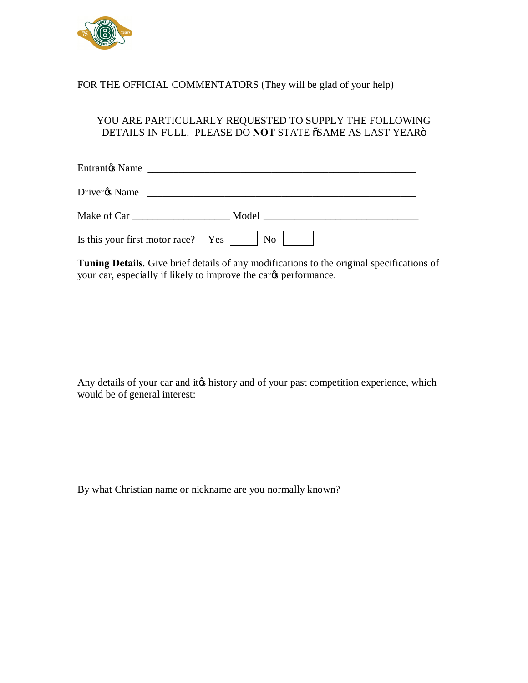

## FOR THE OFFICIAL COMMENTATORS (They will be glad of your help)

## YOU ARE PARTICULARLY REQUESTED TO SUPPLY THE FOLLOWING DETAILS IN FULL. PLEASE DO **NOT** STATE  $\tilde{o}$ SAME AS LAST YEAR $\tilde{o}$

| Driverøs Name                      | <u> 1986 - Jan Stein, amerikansk politiker (</u> |
|------------------------------------|--------------------------------------------------|
|                                    | Model                                            |
| Is this your first motor race? Yes | No                                               |

**Tuning Details**. Give brief details of any modifications to the original specifications of your car, especially if likely to improve the cards performance.

Any details of your car and it ts history and of your past competition experience, which would be of general interest:

By what Christian name or nickname are you normally known?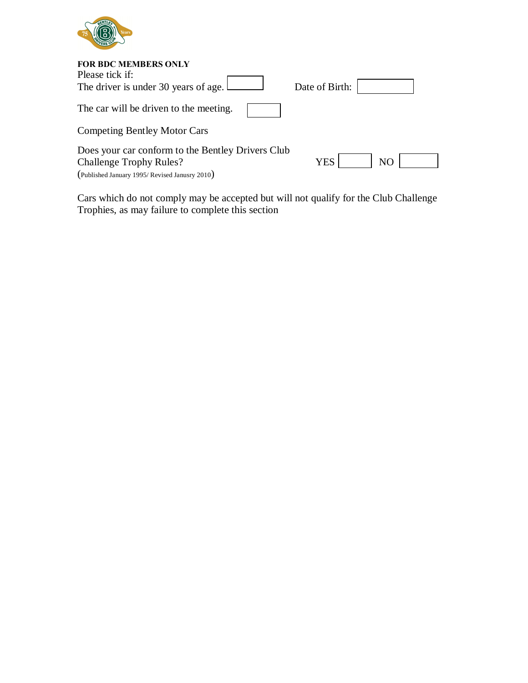

| <b>FOR BDC MEMBERS ONLY</b>                       |                |                |  |
|---------------------------------------------------|----------------|----------------|--|
| Please tick if:                                   |                |                |  |
| The driver is under 30 years of age.              | Date of Birth: |                |  |
| The car will be driven to the meeting.            |                |                |  |
| <b>Competing Bentley Motor Cars</b>               |                |                |  |
| Does your car conform to the Bentley Drivers Club |                |                |  |
| <b>Challenge Trophy Rules?</b>                    | YES            | N <sub>O</sub> |  |
| (Published January 1995/Revised Janusry 2010)     |                |                |  |

Cars which do not comply may be accepted but will not qualify for the Club Challenge Trophies, as may failure to complete this section